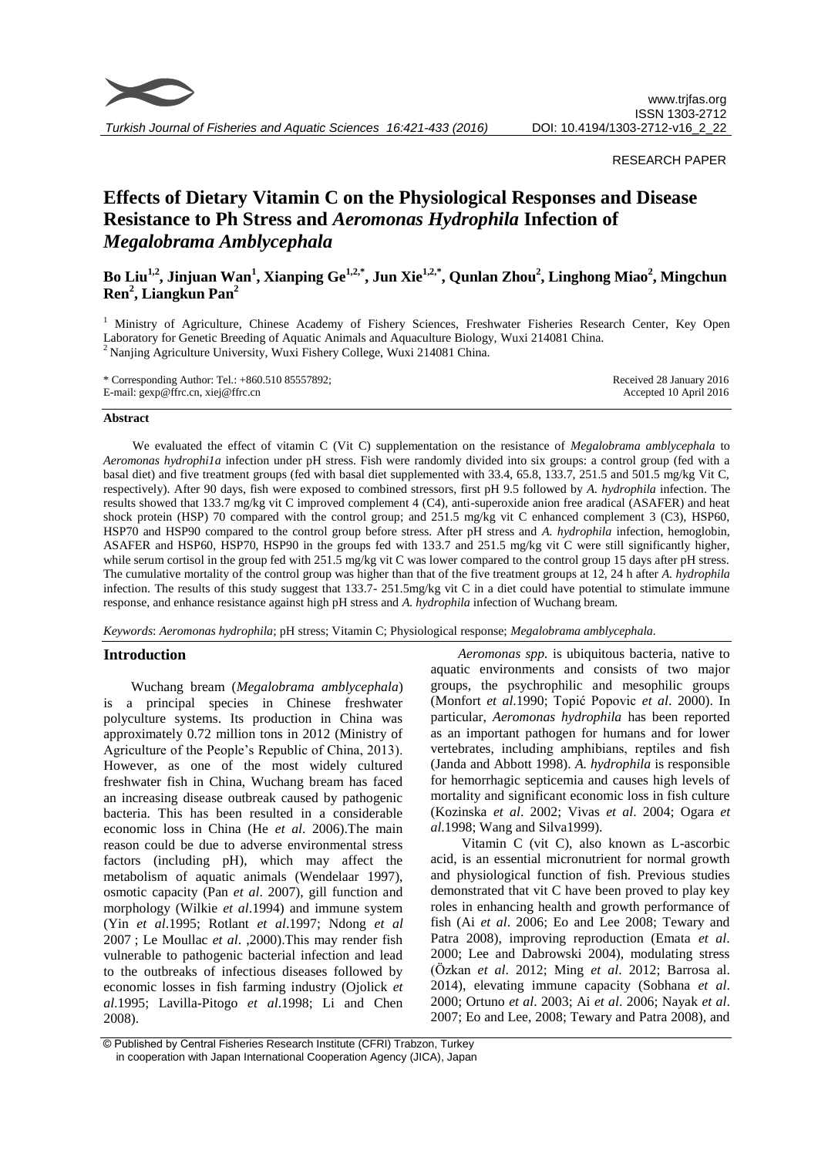

### RESEARCH PAPER

# **Effects of Dietary Vitamin C on the Physiological Responses and Disease Resistance to Ph Stress and** *Aeromonas Hydrophila* **Infection of**  *Megalobrama Amblycephala*

# **Bo Liu1,2 , Jinjuan Wan<sup>1</sup> , Xianping Ge1,2,\* , Jun Xie1,2,\*, Qunlan Zhou<sup>2</sup> , Linghong Miao<sup>2</sup> , Mingchun Ren<sup>2</sup> , Liangkun Pan<sup>2</sup>**

<sup>1</sup> Ministry of Agriculture, Chinese Academy of Fishery Sciences, Freshwater Fisheries Research Center, Key Open Laboratory for Genetic Breeding of Aquatic Animals and Aquaculture Biology, Wuxi 214081 China. <sup>2</sup> Nanjing Agriculture University, Wuxi Fishery College, Wuxi 214081 China.

| * Corresponding Author: Tel.: $+860.51085557892$ ; | Received 28 January 2016 |
|----------------------------------------------------|--------------------------|
| E-mail: $\text{gen@ffrc}$ .cn, xiej@ffrc.cn        | Accepted 10 April 2016   |

### **Abstract**

We evaluated the effect of vitamin C (Vit C) supplementation on the resistance of *Megalobrama amblycephala* to *Aeromonas hydrophi1a* infection under pH stress. Fish were randomly divided into six groups: a control group (fed with a basal diet) and five treatment groups (fed with basal diet supplemented with 33.4, 65.8, 133.7, 251.5 and 501.5 mg/kg Vit C, respectively). After 90 days, fish were exposed to combined stressors, first pH 9.5 followed by *A. hydrophila* infection. The results showed that 133.7 mg/kg vit C improved complement 4 (C4), anti-superoxide anion free aradical (ASAFER) and heat shock protein (HSP) 70 compared with the control group; and 251.5 mg/kg vit C enhanced complement 3 (C3), HSP60, HSP70 and HSP90 compared to the control group before stress. After pH stress and *A. hydrophila* infection, hemoglobin, ASAFER and HSP60, HSP70, HSP90 in the groups fed with 133.7 and 251.5 mg/kg vit C were still significantly higher, while serum cortisol in the group fed with 251.5 mg/kg vit C was lower compared to the control group 15 days after pH stress. The cumulative mortality of the control group was higher than that of the five treatment groups at 12, 24 h after *A. hydrophila* infection. The results of this study suggest that 133.7- 251.5mg/kg vit C in a diet could have potential to stimulate immune response, and enhance resistance against high pH stress and *A. hydrophila* infection of Wuchang bream.

*Keywords*: *Aeromonas hydrophila*; pH stress; Vitamin C; Physiological response; *Megalobrama amblycephala.*

### **Introduction**

Wuchang bream (*Megalobrama amblycephala*) is a principal species in Chinese freshwater polyculture systems. Its production in China was approximately 0.72 million tons in 2012 (Ministry of Agriculture of the People's Republic of China, 2013). However, as one of the most widely cultured freshwater fish in China, Wuchang bream has faced an increasing disease outbreak caused by pathogenic bacteria. This has been resulted in a considerable economic loss in China (He *et al*. 2006).The main reason could be due to adverse environmental stress factors (including pH), which may affect the metabolism of aquatic animals (Wendelaar 1997), osmotic capacity (Pan *et al*. 2007), gill function and morphology (Wilkie *et al*.1994) and immune system (Yin *et al*.1995; Rotlant *et al*.1997; Ndong *et al* 2007 ; Le Moullac *et al*. ,2000).This may render fish vulnerable to pathogenic bacterial infection and lead to the outbreaks of infectious diseases followed by economic losses in fish farming industry (Ojolick *et al*.1995; Lavilla-Pitogo *et al*.1998; Li and Chen 2008).

*Aeromonas spp.* is ubiquitous bacteria, native to aquatic environments and consists of two major groups, the psychrophilic and mesophilic groups (Monfort *et al*.1990; Topić Popovic *et al*. 2000). In particular, *Aeromonas hydrophila* has been reported as an important pathogen for humans and for lower vertebrates, including amphibians, reptiles and fish (Janda and Abbott 1998). *A. hydrophila* is responsible for hemorrhagic septicemia and causes high levels of mortality and significant economic loss in fish culture (Kozinska *et al*. 2002; Vivas *et al*. 2004; Ogara *et al*.1998; Wang and Silva1999).

Vitamin C (vit C), also known as L-ascorbic acid, is an essential micronutrient for normal growth and physiological function of fish. Previous studies demonstrated that vit C have been proved to play key roles in enhancing health and growth performance of fish (Ai *et al*. 2006; Eo and Lee 2008; Tewary and Patra 2008), improving reproduction (Emata *et al*. 2000; Lee and Dabrowski 2004), modulating stress (Özkan *et al*. 2012; Ming *et al*. 2012; Barrosa al. 2014), elevating immune capacity (Sobhana *et al*. 2000; Ortuno *et al*. 2003; Ai *et al*. 2006; Nayak *et al*. 2007; Eo and Lee, 2008; Tewary and Patra 2008), and

<sup>©</sup> Published by Central Fisheries Research Institute (CFRI) Trabzon, Turkey in cooperation with Japan International Cooperation Agency (JICA), Japan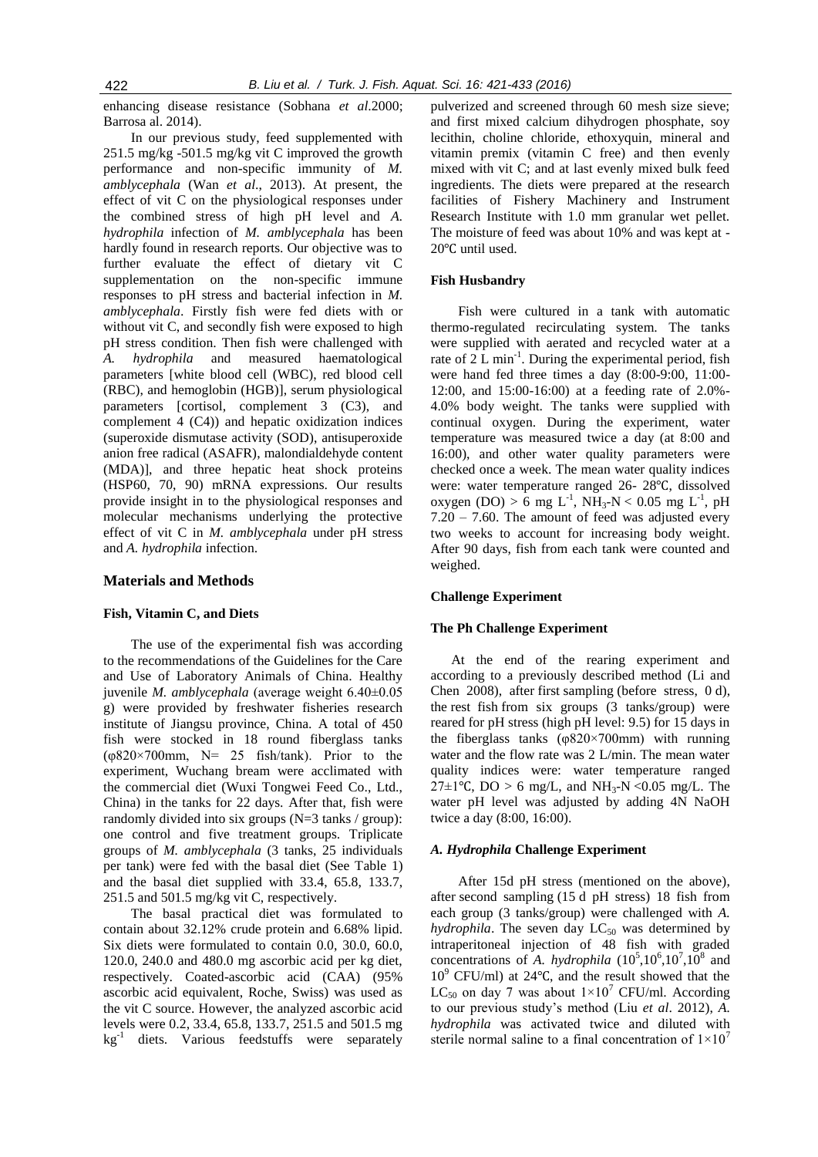enhancing disease resistance (Sobhana *et al*.2000; Barrosa al. 2014).

In our previous study, feed supplemented with 251.5 mg/kg -501.5 mg/kg vit C improved the growth performance and non-specific immunity of *M. amblycephala* (Wan *et al*., 2013). At present, the effect of vit C on the physiological responses under the combined stress of high pH level and *A. hydrophila* infection of *M. amblycephala* has been hardly found in research reports. Our objective was to further evaluate the effect of dietary vit C supplementation on the non-specific immune responses to pH stress and bacterial infection in *M. amblycephala*. Firstly fish were fed diets with or without vit C, and secondly fish were exposed to high pH stress condition. Then fish were challenged with *A. hydrophila* and measured haematological parameters [white blood cell (WBC), red blood cell (RBC), and hemoglobin (HGB)], serum physiological parameters [cortisol, complement 3 (C3), and complement 4 (C4)) and hepatic oxidization indices (superoxide dismutase activity (SOD), antisuperoxide anion free radical (ASAFR), malondialdehyde content (MDA)], and three hepatic heat shock proteins (HSP60, 70, 90) mRNA expressions. Our results provide insight in to the physiological responses and molecular mechanisms underlying the protective effect of vit C in *M. amblycephala* under pH stress and *A. hydrophila* infection.

### **Materials and Methods**

### **Fish, Vitamin C, and Diets**

The use of the experimental fish was according to the recommendations of the Guidelines for the Care and Use of Laboratory Animals of China. Healthy juvenile *M. amblycephala* (average weight 6.40±0.05 g) were provided by freshwater fisheries research institute of Jiangsu province, China. A total of 450 fish were stocked in 18 round fiberglass tanks ( $\varphi$ 820×700mm, N= 25 fish/tank). Prior to the experiment, Wuchang bream were acclimated with the commercial diet (Wuxi Tongwei Feed Co., Ltd., China) in the tanks for 22 days. After that, fish were randomly divided into six groups (N=3 tanks / group): one control and five treatment groups. Triplicate groups of *M. amblycephala* (3 tanks, 25 individuals per tank) were fed with the basal diet (See Table 1) and the basal diet supplied with 33.4, 65.8, 133.7, 251.5 and 501.5 mg/kg vit C, respectively.

The basal practical diet was formulated to contain about 32.12% crude protein and 6.68% lipid. Six diets were formulated to contain 0.0, 30.0, 60.0, 120.0, 240.0 and 480.0 mg ascorbic acid per kg diet, respectively. Coated-ascorbic acid (CAA) (95% ascorbic acid equivalent, Roche, Swiss) was used as the vit C source. However, the analyzed ascorbic acid levels were 0.2, 33.4, 65.8, 133.7, 251.5 and 501.5 mg kg<sup>-1</sup> diets. Various feedstuffs were separately pulverized and screened through 60 mesh size sieve; and first mixed calcium dihydrogen phosphate, soy lecithin, choline chloride, ethoxyquin, mineral and vitamin premix (vitamin C free) and then evenly mixed with vit C; and at last evenly mixed bulk feed ingredients. The diets were prepared at the research facilities of Fishery Machinery and Instrument Research Institute with 1.0 mm granular wet pellet. The moisture of feed was about 10% and was kept at - 20℃ until used.

### **Fish Husbandry**

Fish were cultured in a tank with automatic thermo-regulated recirculating system. The tanks were supplied with aerated and recycled water at a rate of  $2\,\mathrm{L}$  min<sup>-1</sup>. During the experimental period, fish were hand fed three times a day (8:00-9:00, 11:00- 12:00, and 15:00-16:00) at a feeding rate of 2.0%- 4.0% body weight. The tanks were supplied with continual oxygen. During the experiment, water temperature was measured twice a day (at 8:00 and 16:00), and other water quality parameters were checked once a week. The mean water quality indices were: water temperature ranged 26- 28℃, dissolved oxygen (DO) > 6 mg L<sup>-1</sup>, NH<sub>3</sub>-N < 0.05 mg L<sup>-1</sup>, pH  $7.20 - 7.60$ . The amount of feed was adjusted every two weeks to account for increasing body weight. After 90 days, fish from each tank were counted and weighed.

### **Challenge Experiment**

### **The Ph Challenge Experiment**

At the end of the rearing experiment and according to a previously described method (Li and Chen 2008), after first sampling (before stress, 0 d), the rest fish from six groups (3 tanks/group) were reared for pH stress (high pH level: 9.5) for 15 days in the fiberglass tanks (φ820×700mm) with running water and the flow rate was 2 L/min. The mean water quality indices were: water temperature ranged 27±1°C, DO > 6 mg/L, and NH<sub>3</sub>-N < 0.05 mg/L. The water pH level was adjusted by adding 4N NaOH twice a day (8:00, 16:00).

# *A. Hydrophila* **Challenge Experiment**

After 15d pH stress (mentioned on the above), after second sampling (15 d pH stress) 18 fish from each group (3 tanks/group) were challenged with *A. hydrophila*. The seven day  $LC_{50}$  was determined by intraperitoneal injection of 48 fish with graded concentrations of *A. hydrophila*  $(10^5, 10^6, 10^7, 10^8)$  and  $10^9$  CFU/ml) at 24 $\degree$ C, and the result showed that the LC<sub>50</sub> on day 7 was about  $1\times10^7$  CFU/ml. According to our previous study's method (Liu *et al*. 2012), *A. hydrophila* was activated twice and diluted with sterile normal saline to a final concentration of  $1\times10<sup>7</sup>$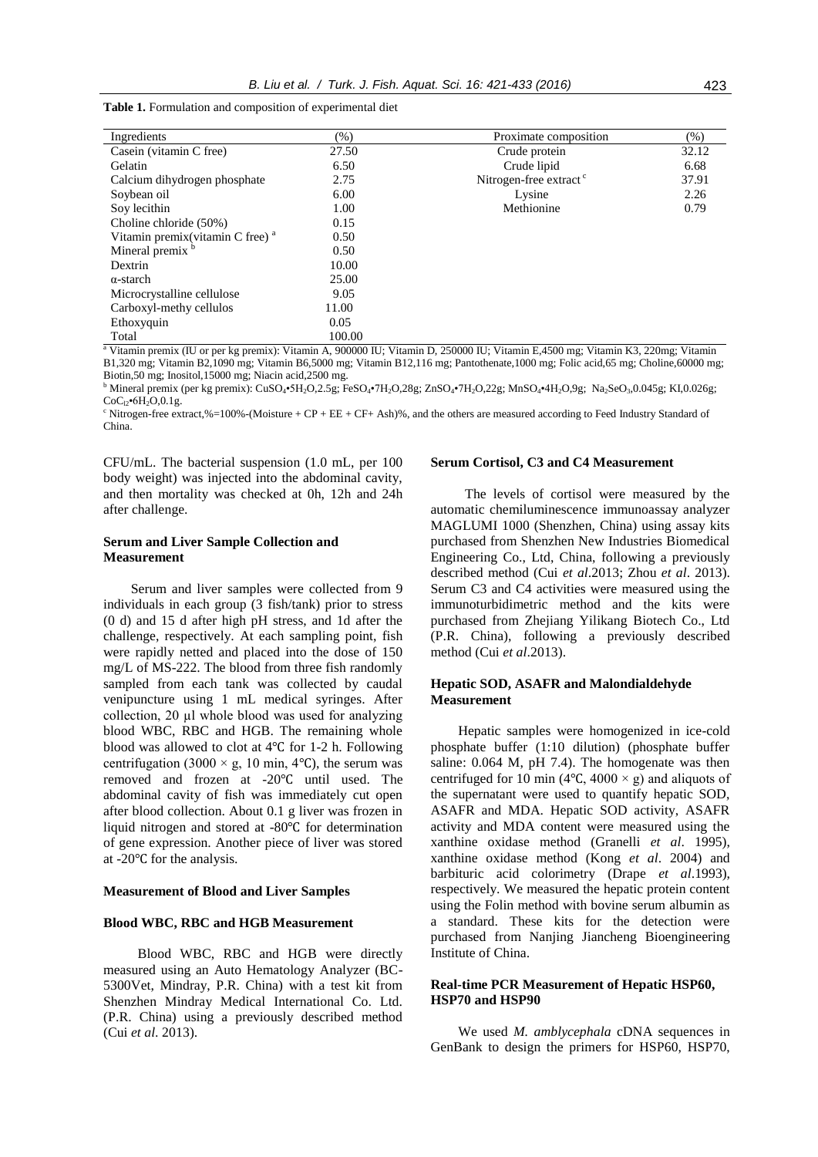| Ingredients                        | $(\% )$ | Proximate composition              | $(\% )$ |
|------------------------------------|---------|------------------------------------|---------|
| Casein (vitamin C free)            | 27.50   | Crude protein                      | 32.12   |
| Gelatin                            | 6.50    | Crude lipid                        | 6.68    |
| Calcium dihydrogen phosphate       | 2.75    | Nitrogen-free extract <sup>c</sup> | 37.91   |
| Soybean oil                        | 6.00    | Lysine                             | 2.26    |
| Soy lecithin                       | 1.00    | Methionine                         | 0.79    |
| Choline chloride (50%)             | 0.15    |                                    |         |
| Vitamin premix(vitamin C free) $a$ | 0.50    |                                    |         |
| Mineral premix <sup>b</sup>        | 0.50    |                                    |         |
| Dextrin                            | 10.00   |                                    |         |
| $\alpha$ -starch                   | 25.00   |                                    |         |
| Microcrystalline cellulose         | 9.05    |                                    |         |
| Carboxyl-methy cellulos            | 11.00   |                                    |         |
| Ethoxyquin                         | 0.05    |                                    |         |
| Total                              | 100.00  |                                    |         |

**Table 1.** Formulation and composition of experimental diet

<sup>a</sup> Vitamin premix (IU or per kg premix): Vitamin A, 900000 IU; Vitamin D, 250000 IU; Vitamin E,4500 mg; Vitamin K3, 220mg; Vitamin B1,320 mg; Vitamin B2,1090 mg; Vitamin B6,5000 mg; Vitamin B12,116 mg; Pantothenate,1000 mg; Folic acid,65 mg; Choline,60000 mg; Biotin,50 mg; Inositol,15000 mg; Niacin acid,2500 mg.

<sup>b</sup> Mineral premix (per kg premix): CuSO<sub>4</sub>•5H<sub>2</sub>O,2.5g; FeSO<sub>4</sub>•7H<sub>2</sub>O,28g; ZnSO<sub>4</sub>•7H<sub>2</sub>O,22g; MnSO<sub>4</sub>•4H<sub>2</sub>O,9g; Na<sub>2</sub>SeO<sub>3</sub>,0.045g; KI,0.026g;  $CoC_{12}$ •6H<sub>2</sub>O, 0.1g.

 $c$  Nitrogen-free extract,%=100%-(Moisture + CP + EE + CF+ Ash)%, and the others are measured according to Feed Industry Standard of China.

CFU/mL. The bacterial suspension (1.0 mL, per 100 body weight) was injected into the abdominal cavity, and then mortality was checked at 0h, 12h and 24h after challenge.

# **Serum and Liver Sample Collection and Measurement**

Serum and liver samples were collected from 9 individuals in each group (3 fish/tank) prior to stress (0 d) and 15 d after high pH stress, and 1d after the challenge, respectively. At each sampling point, fish were rapidly netted and placed into the dose of 150 mg/L of MS-222. The blood from three fish randomly sampled from each tank was collected by caudal venipuncture using 1 mL medical syringes. After collection, 20 µl whole blood was used for analyzing blood WBC, RBC and HGB. The remaining whole blood was allowed to clot at 4℃ for 1-2 h. Following centrifugation (3000  $\times$  g, 10 min, 4°C), the serum was removed and frozen at -20℃ until used. The abdominal cavity of fish was immediately cut open after blood collection. About 0.1 g liver was frozen in liquid nitrogen and stored at -80℃ for determination of gene expression. Another piece of liver was stored at -20℃ for the analysis.

### **Measurement of Blood and Liver Samples**

### **Blood WBC, RBC and HGB Measurement**

Blood WBC, RBC and HGB were directly measured using an Auto Hematology Analyzer (BC-5300Vet, Mindray, P.R. China) with a test kit from Shenzhen Mindray Medical International Co. Ltd. (P.R. China) using a previously described method (Cui *et al*. 2013).

### **Serum Cortisol, C3 and C4 Measurement**

The levels of cortisol were measured by the automatic chemiluminescence immunoassay analyzer MAGLUMI 1000 (Shenzhen, China) using assay kits purchased from Shenzhen New Industries Biomedical Engineering Co., Ltd, China, following a previously described method (Cui *et al*.2013; Zhou *et al*. 2013). Serum C3 and C4 activities were measured using the immunoturbidimetric method and the kits were purchased from Zhejiang Yilikang Biotech Co., Ltd (P.R. China), following a previously described method (Cui *et al*.2013).

# **Hepatic SOD, ASAFR and Malondialdehyde Measurement**

Hepatic samples were homogenized in ice-cold phosphate buffer (1:10 dilution) (phosphate buffer saline: 0.064 M, pH 7.4). The homogenate was then centrifuged for 10 min (4 $°C$ , 4000  $\times$  g) and aliquots of the supernatant were used to quantify hepatic SOD, ASAFR and MDA. Hepatic SOD activity, ASAFR activity and MDA content were measured using the xanthine oxidase method (Granelli *et al*. 1995), xanthine oxidase method (Kong *et al*. 2004) and barbituric acid colorimetry (Drape *et al*.1993), respectively. We measured the hepatic protein content using the Folin method with bovine serum albumin as a standard. These kits for the detection were purchased from Nanjing Jiancheng Bioengineering Institute of China.

# **Real-time PCR Measurement of Hepatic HSP60, HSP70 and HSP90**

We used *M. amblycephala* cDNA sequences in GenBank to design the primers for HSP60, HSP70,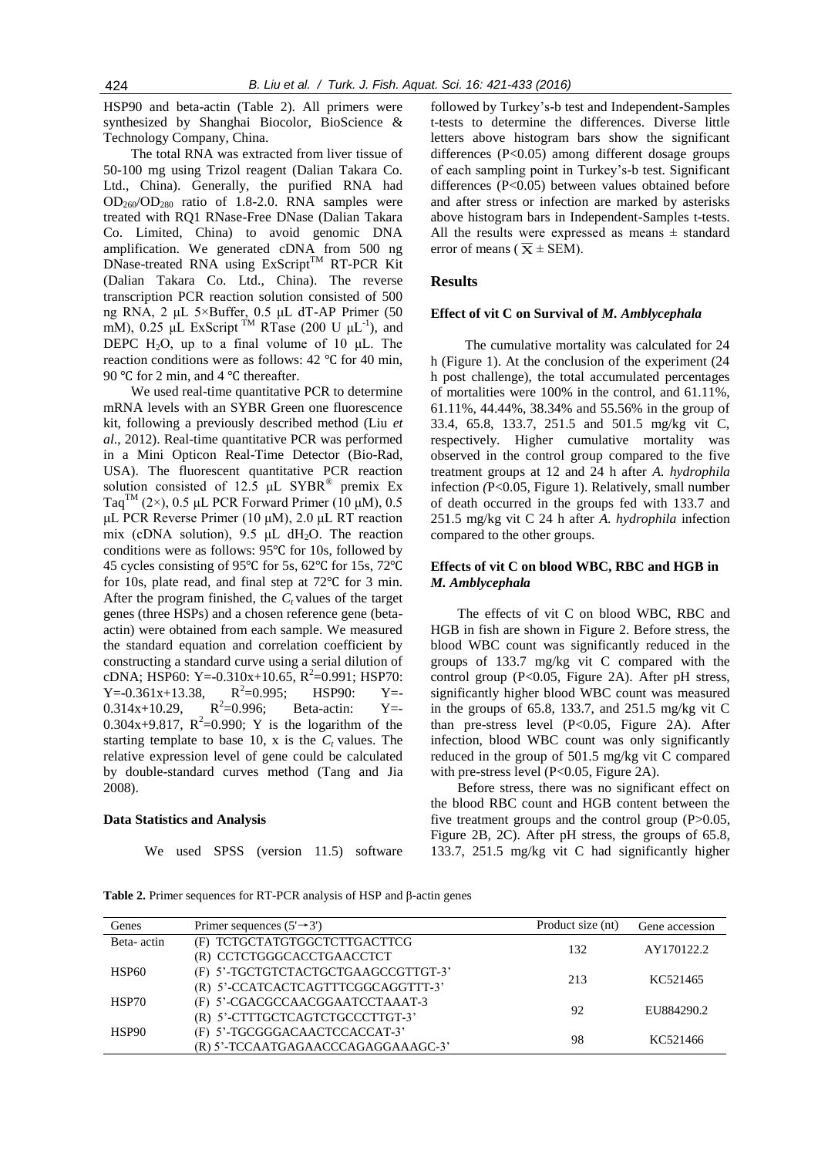HSP90 and beta-actin (Table 2). All primers were synthesized by Shanghai Biocolor, BioScience & Technology Company, China.

The total RNA was extracted from liver tissue of 50-100 mg using Trizol reagent (Dalian Takara Co. Ltd., China). Generally, the purified RNA had OD260/OD<sup>280</sup> ratio of 1.8-2.0. RNA samples were treated with RQ1 RNase-Free DNase (Dalian Takara Co. Limited, China) to avoid genomic DNA amplification. We generated cDNA from 500 ng DNase-treated RNA using ExScript™ RT-PCR Kit (Dalian Takara Co. Ltd., China). The reverse transcription PCR reaction solution consisted of 500 ng RNA, 2 μL 5×Buffer, 0.5 μL dT-AP Primer (50 mM), 0.25 μL ExScript<sup>TM</sup> RTase (200 U  $\mu$ L<sup>-1</sup>), and DEPC H<sub>2</sub>O, up to a final volume of 10  $\mu$ L. The reaction conditions were as follows: 42 ℃ for 40 min, 90 °C for 2 min, and 4 °C thereafter.

We used real-time quantitative PCR to determine mRNA levels with an SYBR Green one fluorescence kit, following a previously described method (Liu *et al*., 2012). Real-time quantitative PCR was performed in a Mini Opticon Real-Time Detector (Bio-Rad, USA). The fluorescent quantitative PCR reaction solution consisted of 12.5  $\mu$ L SYBR<sup>®</sup> premix Ex Taq<sup>TM</sup> (2×), 0.5 μL PCR Forward Primer (10 μM), 0.5 μL PCR Reverse Primer (10 μM), 2.0 μL RT reaction mix (cDNA solution), 9.5  $\mu$ L dH<sub>2</sub>O. The reaction conditions were as follows: 95℃ for 10s, followed by 45 cycles consisting of 95℃ for 5s, 62℃ for 15s, 72℃ for 10s, plate read, and final step at 72℃ for 3 min. After the program finished, the *Ct* values of the target genes (three HSPs) and a chosen reference gene (betaactin) were obtained from each sample. We measured the standard equation and correlation coefficient by constructing a standard curve using a serial dilution of cDNA; HSP60: Y= $-0.310x+10.65$ , R<sup>2</sup>=0.991; HSP70: Y=-0.361x+13.38,  $R^2$ =0.9<br>0.314x+10.29,  $R^2$ =0.996;  $R^2=0.995$ ; HSP90: Y=- $0.314x+10.29,$ Beta-actin:  $Y = -$ 0.304x+9.817,  $R^2 = 0.990$ ; Y is the logarithm of the starting template to base 10, x is the  $C_t$  values. The relative expression level of gene could be calculated by double-standard curves method (Tang and Jia 2008).

### **Data Statistics and Analysis**

We used SPSS (version 11.5) software

followed by Turkey's-b test and Independent-Samples t-tests to determine the differences. Diverse little letters above histogram bars show the significant differences (P<0.05) among different dosage groups of each sampling point in Turkey's-b test. Significant differences (P<0.05) between values obtained before and after stress or infection are marked by asterisks above histogram bars in Independent-Samples t-tests. All the results were expressed as means  $\pm$  standard error of means ( $\overline{X} \pm$  SEM).

### **Results**

#### **Effect of vit C on Survival of** *M. Amblycephala*

The cumulative mortality was calculated for 24 h (Figure 1). At the conclusion of the experiment (24 h post challenge), the total accumulated percentages of mortalities were 100% in the control, and 61.11%, 61.11%, 44.44%, 38.34% and 55.56% in the group of 33.4, 65.8, 133.7, 251.5 and 501.5 mg/kg vit C, respectively. Higher cumulative mortality was observed in the control group compared to the five treatment groups at 12 and 24 h after *A. hydrophila* infection *(*P<0.05, Figure 1). Relatively, small number of death occurred in the groups fed with 133.7 and 251.5 mg/kg vit C 24 h after *A. hydrophila* infection compared to the other groups.

## **Effects of vit C on blood WBC, RBC and HGB in**  *M. Amblycephala*

The effects of vit C on blood WBC, RBC and HGB in fish are shown in Figure 2. Before stress, the blood WBC count was significantly reduced in the groups of 133.7 mg/kg vit C compared with the control group (P<0.05, Figure 2A). After pH stress, significantly higher blood WBC count was measured in the groups of 65.8, 133.7, and 251.5 mg/kg vit C than pre-stress level (P<0.05, Figure 2A). After infection, blood WBC count was only significantly reduced in the group of 501.5 mg/kg vit C compared with pre-stress level (P<0.05, Figure 2A).

Before stress, there was no significant effect on the blood RBC count and HGB content between the five treatment groups and the control group (P>0.05, Figure 2B, 2C). After pH stress, the groups of 65.8, 133.7, 251.5 mg/kg vit C had significantly higher

**Table 2.** Primer sequences for RT-PCR analysis of HSP and β-actin genes

| Genes      | Primer sequences $(5' \rightarrow 3')$ | Product size (nt) | Gene accession |
|------------|----------------------------------------|-------------------|----------------|
| Beta-actin | (F) TCTGCTATGTGGCTCTTGACTTCG           | 132               | AY170122.2     |
|            | (R) CCTCTGGGCACCTGAACCTCT              |                   |                |
| HSP60      | (F) 5'-TGCTGTCTACTGCTGAAGCCGTTGT-3'    | 213               | KC521465       |
|            | (R) 5'-CCATCACTCAGTTTCGGCAGGTTT-3'     |                   |                |
| HSP70      | (F) 5'-CGACGCCAACGGAATCCTAAAT-3        |                   | EU884290.2     |
|            | (R) 5'-CTTTGCTCAGTCTGCCCTTGT-3'        | 92                |                |
| HSP90      | (F) 5'-TGCGGGACAACTCCACCAT-3'          | 98                | KC521466       |
|            | (R) 5'-TCCAATGAGAACCCAGAGGAAAGC-3'     |                   |                |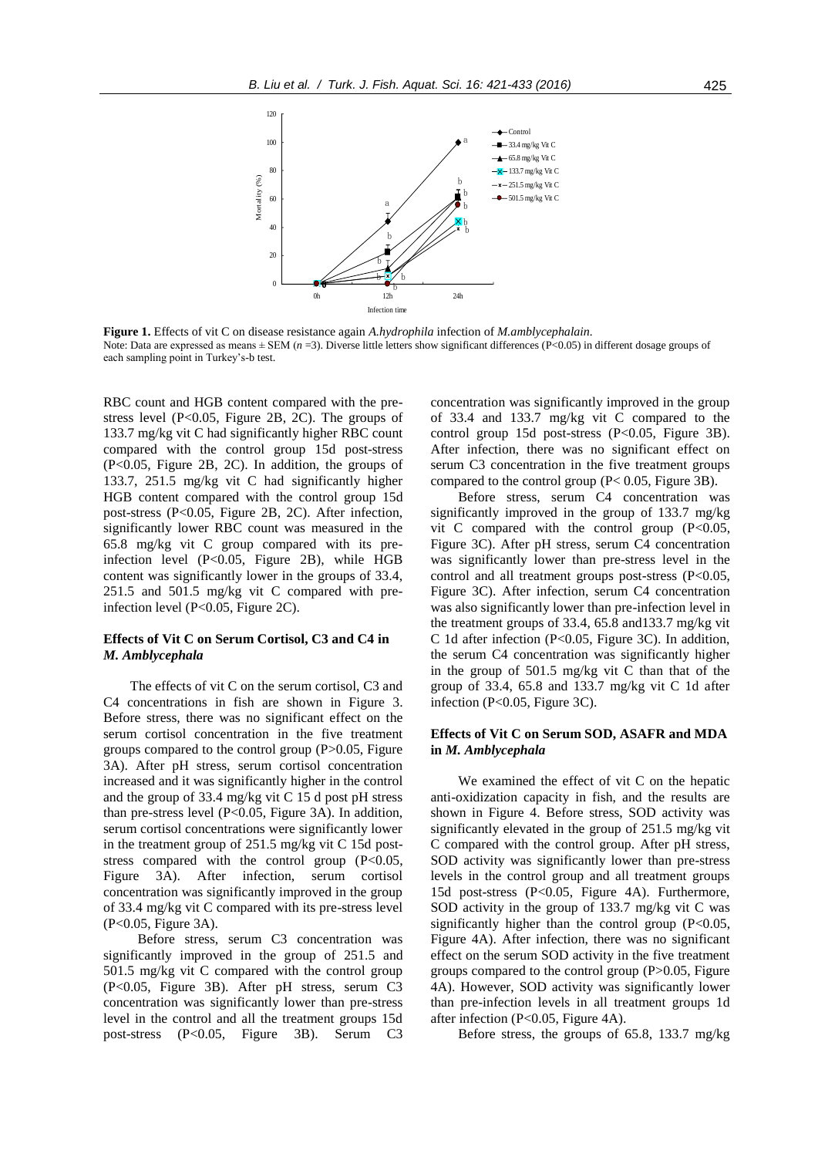

**Figure 1.** Effects of vit C on disease resistance again *A.hydrophila* infection of *M.amblycephalain.* Note: Data are expressed as means  $\pm$  SEM (*n* = 3). Diverse little letters show significant differences (P<0.05) in different dosage groups of each sampling point in Turkey's-b test.

RBC count and HGB content compared with the prestress level  $(P<0.05$ , Figure 2B, 2C). The groups of 133.7 mg/kg vit C had significantly higher RBC count compared with the control group 15d post-stress (P<0.05, Figure 2B, 2C). In addition, the groups of 133.7, 251.5 mg/kg vit C had significantly higher HGB content compared with the control group 15d post-stress (P<0.05, Figure 2B, 2C). After infection, significantly lower RBC count was measured in the 65.8 mg/kg vit C group compared with its preinfection level (P<0.05, Figure 2B), while HGB content was significantly lower in the groups of 33.4, 251.5 and 501.5 mg/kg vit C compared with preinfection level (P<0.05, Figure 2C).

# **Effects of Vit C on Serum Cortisol, C3 and C4 in**  *M. Amblycephala*

The effects of vit C on the serum cortisol, C3 and C4 concentrations in fish are shown in Figure 3. Before stress, there was no significant effect on the serum cortisol concentration in the five treatment groups compared to the control group (P>0.05, Figure 3A). After pH stress, serum cortisol concentration increased and it was significantly higher in the control and the group of 33.4 mg/kg vit C 15 d post pH stress than pre-stress level (P<0.05, Figure 3A). In addition, serum cortisol concentrations were significantly lower in the treatment group of 251.5 mg/kg vit C 15d poststress compared with the control group  $(P<0.05$ , Figure 3A). After infection, serum cortisol concentration was significantly improved in the group of 33.4 mg/kg vit C compared with its pre-stress level (P<0.05, Figure 3A).

Before stress, serum C3 concentration was significantly improved in the group of 251.5 and 501.5 mg/kg vit C compared with the control group (P<0.05, Figure 3B). After pH stress, serum C3 concentration was significantly lower than pre-stress level in the control and all the treatment groups 15d post-stress (P<0.05, Figure 3B). Serum C3 concentration was significantly improved in the group of 33.4 and 133.7 mg/kg vit C compared to the control group 15d post-stress  $(P<0.05,$  Figure 3B). After infection, there was no significant effect on serum C3 concentration in the five treatment groups compared to the control group  $(P< 0.05$ , Figure 3B).

Before stress, serum C4 concentration was significantly improved in the group of 133.7 mg/kg vit C compared with the control group  $(P<0.05$ , Figure 3C). After pH stress, serum C4 concentration was significantly lower than pre-stress level in the control and all treatment groups post-stress (P<0.05, Figure 3C). After infection, serum C4 concentration was also significantly lower than pre-infection level in the treatment groups of 33.4, 65.8 and133.7 mg/kg vit C 1d after infection (P<0.05, Figure 3C). In addition, the serum C4 concentration was significantly higher in the group of 501.5 mg/kg vit C than that of the group of 33.4, 65.8 and 133.7 mg/kg vit C 1d after infection (P<0.05, Figure 3C).

## **Effects of Vit C on Serum SOD, ASAFR and MDA in** *M. Amblycephala*

We examined the effect of vit C on the hepatic anti-oxidization capacity in fish, and the results are shown in Figure 4. Before stress, SOD activity was significantly elevated in the group of 251.5 mg/kg vit C compared with the control group. After pH stress, SOD activity was significantly lower than pre-stress levels in the control group and all treatment groups 15d post-stress (P<0.05, Figure 4A). Furthermore, SOD activity in the group of 133.7 mg/kg vit C was significantly higher than the control group (P<0.05, Figure 4A). After infection, there was no significant effect on the serum SOD activity in the five treatment groups compared to the control group (P>0.05, Figure 4A). However, SOD activity was significantly lower than pre-infection levels in all treatment groups 1d after infection (P<0.05, Figure 4A).

Before stress, the groups of 65.8, 133.7 mg/kg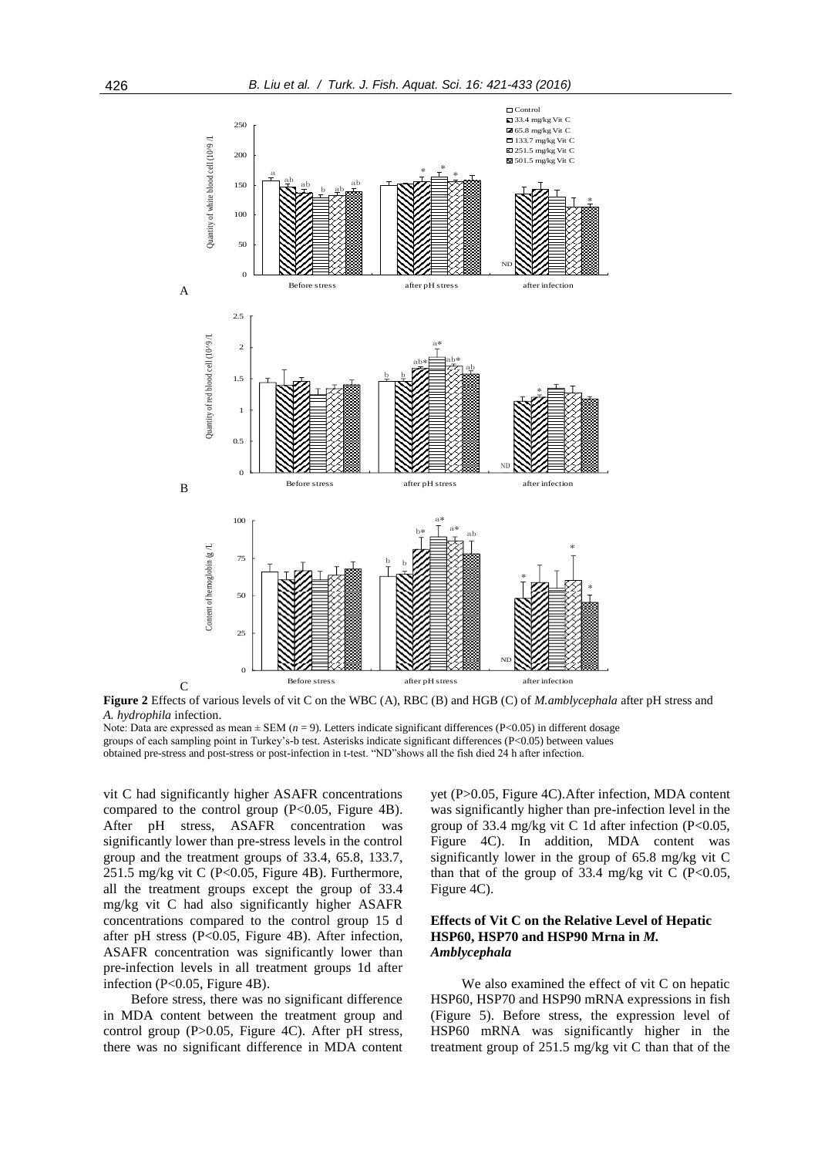

**Figure 2** Effects of various levels of vit C on the WBC (A), RBC (B) and HGB (C) of *M.amblycephala* after pH stress and *A. hydrophila* infection.

Note: Data are expressed as mean ± SEM (*n* = 9). Letters indicate significant differences (P<0.05) in different dosage groups of each sampling point in Turkey's-b test. Asterisks indicate significant differences (P<0.05) between values obtained pre-stress and post-stress or post-infection in t-test. "ND"shows all the fish died 24 h after infection.

vit C had significantly higher ASAFR concentrations compared to the control group  $(P<0.05$ , Figure 4B). After pH stress, ASAFR concentration was significantly lower than pre-stress levels in the control group and the treatment groups of 33.4, 65.8, 133.7, 251.5 mg/kg vit C (P<0.05, Figure 4B). Furthermore, all the treatment groups except the group of 33.4 mg/kg vit C had also significantly higher ASAFR concentrations compared to the control group 15 d after pH stress  $(P<0.05$ , Figure 4B). After infection, ASAFR concentration was significantly lower than pre-infection levels in all treatment groups 1d after infection (P<0.05, Figure 4B).

Before stress, there was no significant difference in MDA content between the treatment group and control group (P>0.05, Figure 4C). After pH stress, there was no significant difference in MDA content yet (P>0.05, Figure 4C).After infection, MDA content was significantly higher than pre-infection level in the group of 33.4 mg/kg vit C 1d after infection (P<0.05, Figure 4C). In addition, MDA content was significantly lower in the group of 65.8 mg/kg vit C than that of the group of 33.4 mg/kg vit C (P<0.05, Figure 4C).

### **Effects of Vit C on the Relative Level of Hepatic HSP60, HSP70 and HSP90 Mrna in** *M. Amblycephala*

We also examined the effect of vit C on hepatic HSP60, HSP70 and HSP90 mRNA expressions in fish (Figure 5). Before stress, the expression level of HSP60 mRNA was significantly higher in the treatment group of 251.5 mg/kg vit C than that of the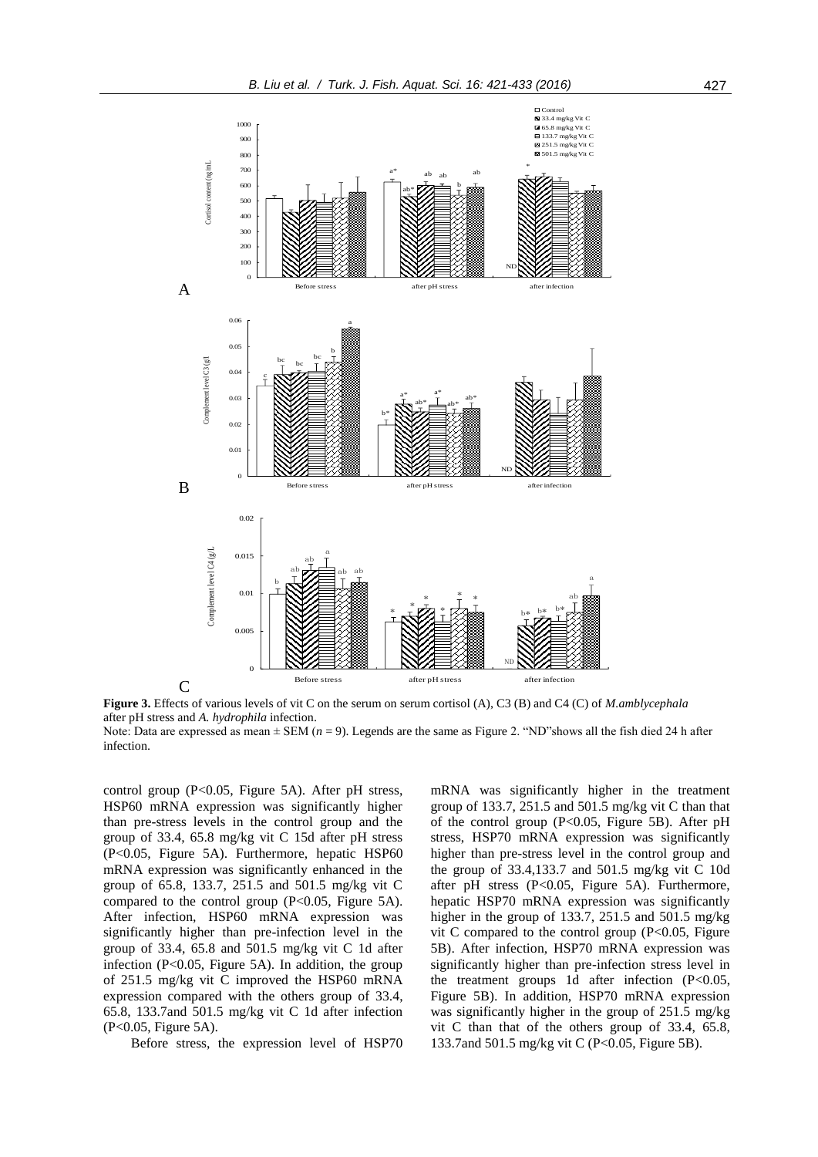

**Figure 3.** Effects of various levels of vit C on the serum on serum cortisol (A), C3 (B) and C4 (C) of *M.amblycephala* after pH stress and *A. hydrophila* infection.

Note: Data are expressed as mean  $\pm$  SEM ( $n = 9$ ). Legends are the same as Figure 2. "ND"shows all the fish died 24 h after infection.

control group  $(P<0.05$ , Figure 5A). After pH stress, HSP60 mRNA expression was significantly higher than pre-stress levels in the control group and the group of 33.4, 65.8 mg/kg vit C 15d after pH stress (P<0.05, Figure 5A). Furthermore, hepatic HSP60 mRNA expression was significantly enhanced in the group of 65.8, 133.7, 251.5 and 501.5 mg/kg vit C compared to the control group  $(P<0.05$ , Figure 5A). After infection, HSP60 mRNA expression was significantly higher than pre-infection level in the group of 33.4, 65.8 and 501.5 mg/kg vit C 1d after infection ( $P<0.05$ , Figure 5A). In addition, the group of 251.5 mg/kg vit C improved the HSP60 mRNA expression compared with the others group of 33.4, 65.8, 133.7and 501.5 mg/kg vit C 1d after infection (P<0.05, Figure 5A).

Before stress, the expression level of HSP70

mRNA was significantly higher in the treatment group of 133.7, 251.5 and 501.5 mg/kg vit C than that of the control group  $(P<0.05$ , Figure 5B). After pH stress, HSP70 mRNA expression was significantly higher than pre-stress level in the control group and the group of 33.4,133.7 and 501.5 mg/kg vit C 10d after pH stress (P<0.05, Figure 5A). Furthermore, hepatic HSP70 mRNA expression was significantly higher in the group of 133.7, 251.5 and 501.5 mg/kg vit C compared to the control group  $(P<0.05$ , Figure 5B). After infection, HSP70 mRNA expression was significantly higher than pre-infection stress level in the treatment groups 1d after infection (P<0.05, Figure 5B). In addition, HSP70 mRNA expression was significantly higher in the group of 251.5 mg/kg vit C than that of the others group of 33.4, 65.8, 133.7and 501.5 mg/kg vit C (P<0.05, Figure 5B).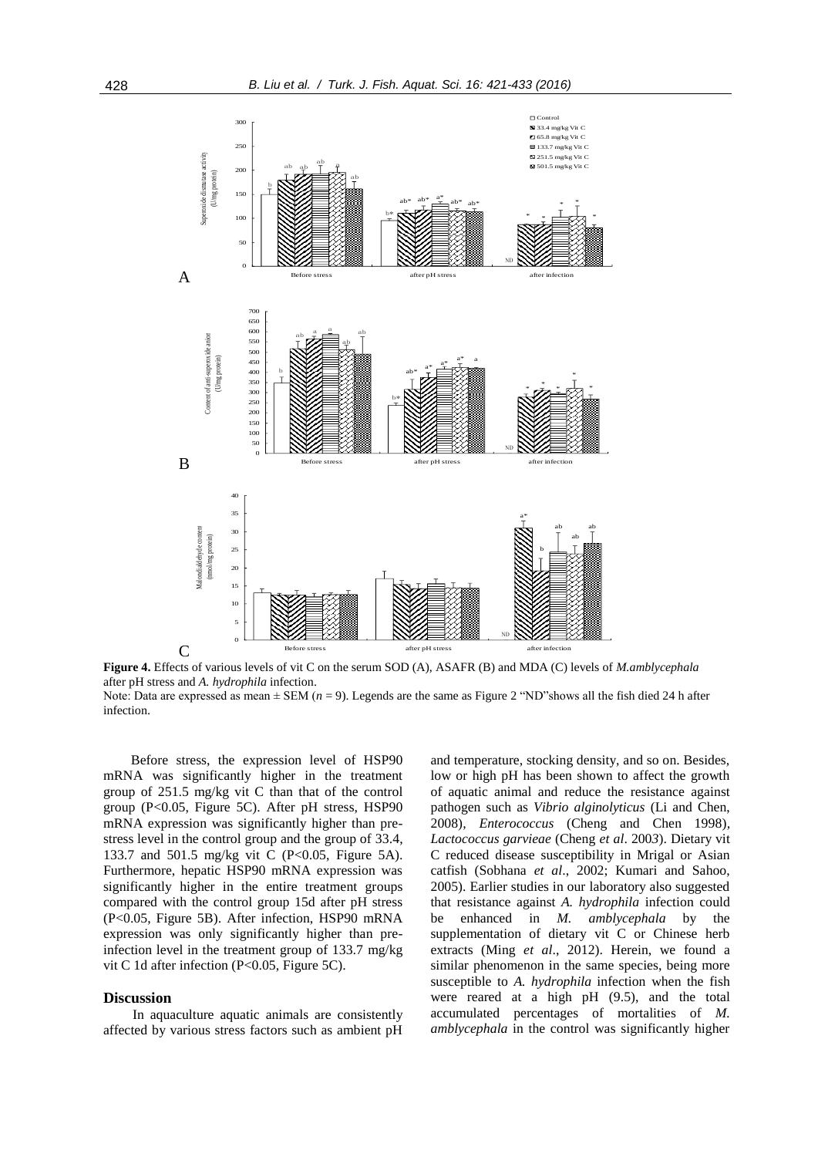

**Figure 4.** Effects of various levels of vit C on the serum SOD (A), ASAFR (B) and MDA (C) levels of *M.amblycephala* after pH stress and *A. hydrophila* infection.

Note: Data are expressed as mean  $\pm$  SEM ( $n = 9$ ). Legends are the same as Figure 2 "ND"shows all the fish died 24 h after infection.

Before stress, the expression level of HSP90 mRNA was significantly higher in the treatment group of 251.5 mg/kg vit C than that of the control group (P<0.05, Figure 5C). After pH stress, HSP90 mRNA expression was significantly higher than prestress level in the control group and the group of 33.4, 133.7 and 501.5 mg/kg vit C (P<0.05, Figure 5A). Furthermore, hepatic HSP90 mRNA expression was significantly higher in the entire treatment groups compared with the control group 15d after pH stress (P<0.05, Figure 5B). After infection, HSP90 mRNA expression was only significantly higher than preinfection level in the treatment group of 133.7 mg/kg vit C 1d after infection (P<0.05, Figure 5C).

# **Discussion**

In aquaculture aquatic animals are consistently affected by various stress factors such as ambient pH

and temperature, stocking density, and so on. Besides, low or high pH has been shown to affect the growth of aquatic animal and reduce the resistance against pathogen such as *Vibrio alginolyticus* (Li and Chen, 2008)*, Enterococcus* (Cheng and Chen 1998)*, Lactococcus garvieae* (Cheng *et al*. 200*3*). Dietary vit C reduced disease susceptibility in Mrigal or Asian catfish (Sobhana *et al*., 2002; Kumari and Sahoo, 2005). Earlier studies in our laboratory also suggested that resistance against *A. hydrophila* infection could be enhanced in *M. amblycephala* by the supplementation of dietary vit C or Chinese herb extracts (Ming *et al*., 2012). Herein, we found a similar phenomenon in the same species, being more susceptible to *A. hydrophila* infection when the fish were reared at a high pH (9.5), and the total accumulated percentages of mortalities of *M. amblycephala* in the control was significantly higher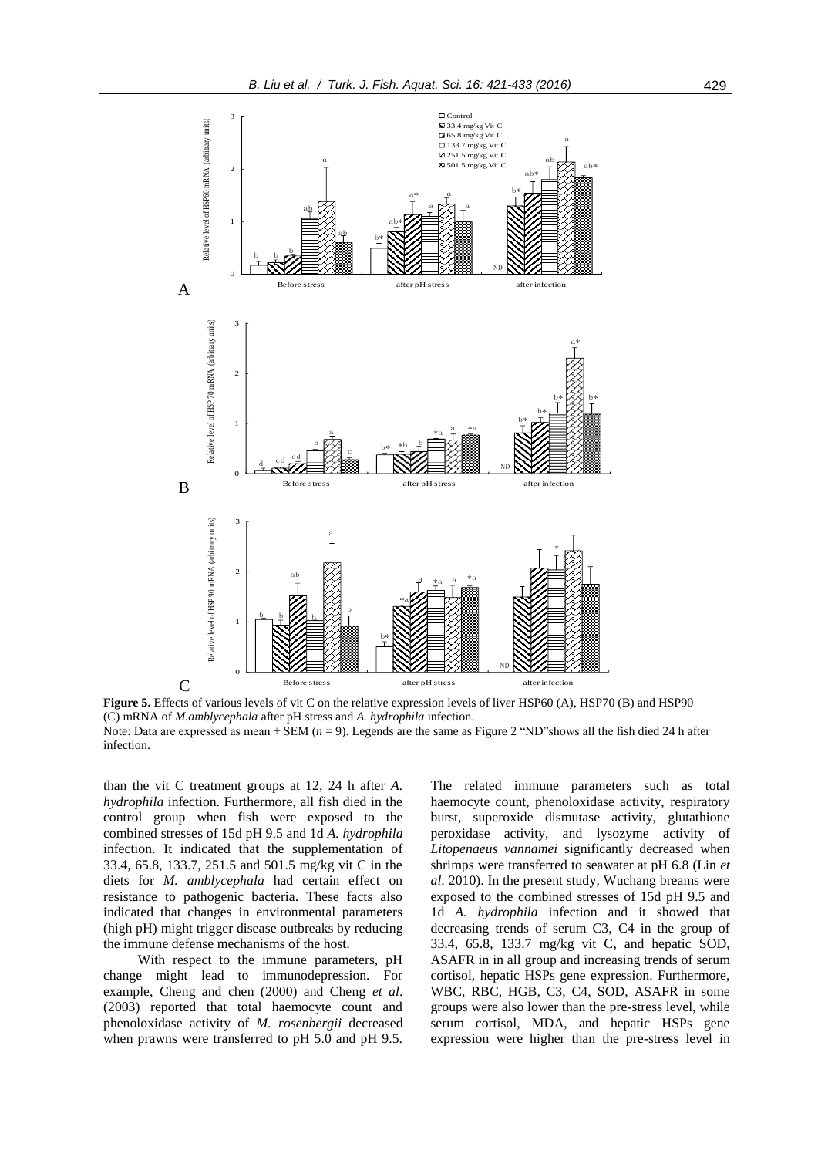

**Figure 5.** Effects of various levels of vit C on the relative expression levels of liver HSP60 (A), HSP70 (B) and HSP90 (C) mRNA of *M.amblycephala* after pH stress and *A. hydrophila* infection. Note: Data are expressed as mean ± SEM (*n* = 9). Legends are the same as Figure 2 "ND"shows all the fish died 24 h after infection.

than the vit C treatment groups at 12, 24 h after *A. hydrophila* infection. Furthermore, all fish died in the control group when fish were exposed to the combined stresses of 15d pH 9.5 and 1d *A. hydrophila* infection. It indicated that the supplementation of 33.4, 65.8, 133.7, 251.5 and 501.5 mg/kg vit C in the diets for *M. amblycephala* had certain effect on resistance to pathogenic bacteria. These facts also indicated that changes in environmental parameters (high pH) might trigger disease outbreaks by reducing the immune defense mechanisms of the host.

With respect to the immune parameters, pH change might lead to immunodepression. For example, Cheng and chen (2000) and Cheng *et al*. (2003) reported that total haemocyte count and phenoloxidase activity of *M. rosenbergii* decreased when prawns were transferred to pH 5.0 and pH 9.5.

The related immune parameters such as total haemocyte count, phenoloxidase activity, respiratory burst, superoxide dismutase activity, glutathione peroxidase activity, and lysozyme activity of *Litopenaeus vannamei* significantly decreased when shrimps were transferred to seawater at pH 6.8 (Lin *et al*. 2010). In the present study, Wuchang breams were exposed to the combined stresses of 15d pH 9.5 and 1d *A. hydrophila* infection and it showed that decreasing trends of serum C3, C4 in the group of 33.4, 65.8, 133.7 mg/kg vit C, and hepatic SOD, ASAFR in in all group and increasing trends of serum cortisol, hepatic HSPs gene expression. Furthermore, WBC, RBC, HGB, C3, C4, SOD, ASAFR in some groups were also lower than the pre-stress level, while serum cortisol, MDA, and hepatic HSPs gene expression were higher than the pre-stress level in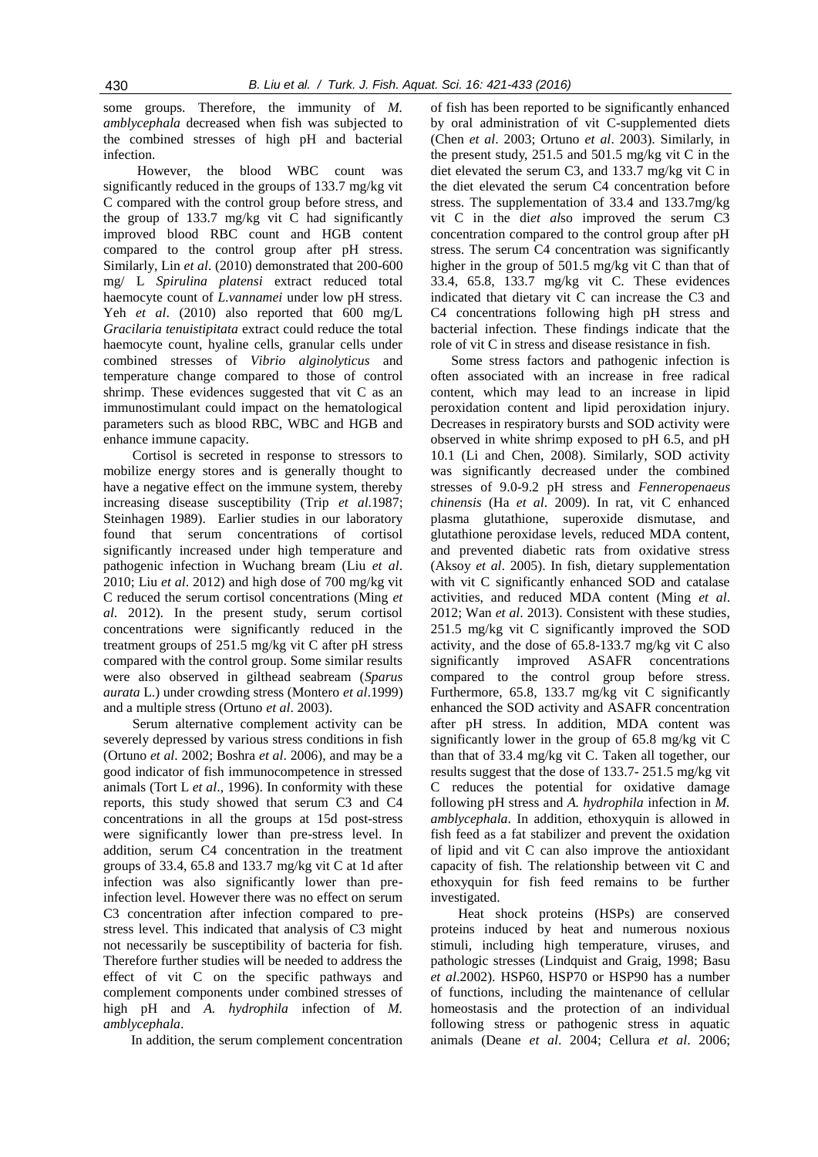some groups. Therefore, the immunity of *M. amblycephala* decreased when fish was subjected to the combined stresses of high pH and bacterial infection.

However, the blood WBC count was significantly reduced in the groups of 133.7 mg/kg vit C compared with the control group before stress, and the group of 133.7 mg/kg vit C had significantly improved blood RBC count and HGB content compared to the control group after pH stress. Similarly, Lin *et al*. (2010) demonstrated that 200-600 mg/ L *Spirulina platensi* extract reduced total haemocyte count of *L.vannamei* under low pH stress. Yeh *et al*. (2010) also reported that 600 mg/L *Gracilaria tenuistipitata* extract could reduce the total haemocyte count, hyaline cells, granular cells under combined stresses of *Vibrio alginolyticus* and temperature change compared to those of control shrimp. These evidences suggested that vit C as an immunostimulant could impact on the hematological parameters such as blood RBC, WBC and HGB and enhance immune capacity.

Cortisol is secreted in response to stressors to mobilize energy stores and is generally thought to have a negative effect on the immune system, thereby increasing disease susceptibility (Trip *et al*.1987; Steinhagen 1989). Earlier studies in our laboratory found that serum concentrations of cortisol significantly increased under high temperature and pathogenic infection in Wuchang bream (Liu *et al*. 2010; Liu *et al*. 2012) and high dose of 700 mg/kg vit C reduced the serum cortisol concentrations (Ming *et al*. 2012). In the present study, serum cortisol concentrations were significantly reduced in the treatment groups of 251.5 mg/kg vit C after pH stress compared with the control group. Some similar results were also observed in gilthead seabream (*Sparus aurata* L.) under crowding stress (Montero *et al*.1999) and a multiple stress (Ortuno *et al*. 2003).

Serum alternative complement activity can be severely depressed by various stress conditions in fish (Ortuno *et al*. 2002; Boshra *et al*. 2006), and may be a good indicator of fish immunocompetence in stressed animals (Tort L *et al*., 1996). In conformity with these reports, this study showed that serum C3 and C4 concentrations in all the groups at 15d post-stress were significantly lower than pre-stress level. In addition, serum C4 concentration in the treatment groups of 33.4, 65.8 and 133.7 mg/kg vit C at 1d after infection was also significantly lower than preinfection level. However there was no effect on serum C3 concentration after infection compared to prestress level. This indicated that analysis of C3 might not necessarily be susceptibility of bacteria for fish. Therefore further studies will be needed to address the effect of vit C on the specific pathways and complement components under combined stresses of high pH and *A. hydrophila* infection of *M. amblycephala*.

In addition, the serum complement concentration

of fish has been reported to be significantly enhanced by oral administration of vit C-supplemented diets (Chen *et al*. 2003; Ortuno *et al*. 2003). Similarly, in the present study, 251.5 and 501.5 mg/kg vit C in the diet elevated the serum C3, and 133.7 mg/kg vit C in the diet elevated the serum C4 concentration before stress. The supplementation of 33.4 and 133.7mg/kg vit C in the di*et al*so improved the serum C3 concentration compared to the control group after pH stress. The serum C4 concentration was significantly higher in the group of 501.5 mg/kg vit C than that of 33.4, 65.8, 133.7 mg/kg vit C. These evidences indicated that dietary vit C can increase the C3 and C4 concentrations following high pH stress and bacterial infection. These findings indicate that the role of vit C in stress and disease resistance in fish.

Some stress factors and pathogenic infection is often associated with an increase in free radical content, which may lead to an increase in lipid peroxidation content and lipid peroxidation injury. Decreases in respiratory bursts and SOD activity were observed in white shrimp exposed to pH 6.5, and pH 10.1 (Li and Chen, 2008). Similarly, SOD activity was significantly decreased under the combined stresses of 9.0-9.2 pH stress and *Fenneropenaeus chinensis* (Ha *et al*. 2009). In rat, vit C enhanced plasma glutathione, superoxide dismutase, and glutathione peroxidase levels, reduced MDA content, and prevented diabetic rats from oxidative stress (Aksoy *et al*. 2005). In fish, dietary supplementation with vit C significantly enhanced SOD and catalase activities, and reduced MDA content (Ming *et al*. 2012; Wan *et al*. 2013). Consistent with these studies, 251.5 mg/kg vit C significantly improved the SOD activity, and the dose of 65.8-133.7 mg/kg vit C also significantly improved ASAFR concentrations compared to the control group before stress. Furthermore, 65.8, 133.7 mg/kg vit C significantly enhanced the SOD activity and ASAFR concentration after pH stress. In addition, MDA content was significantly lower in the group of 65.8 mg/kg vit C than that of 33.4 mg/kg vit C. Taken all together, our results suggest that the dose of 133.7- 251.5 mg/kg vit C reduces the potential for oxidative damage following pH stress and *A. hydrophila* infection in *M. amblycephala*. In addition, ethoxyquin is allowed in fish feed as a fat stabilizer and prevent the oxidation of lipid and vit C can also improve the antioxidant capacity of fish. The relationship between vit C and ethoxyquin for fish feed remains to be further investigated.

Heat shock proteins (HSPs) are conserved proteins induced by heat and numerous noxious stimuli, including high temperature, viruses, and pathologic stresses (Lindquist and Graig, 1998; Basu *et al*.2002). HSP60, HSP70 or HSP90 has a number of functions, including the maintenance of cellular homeostasis and the protection of an individual following stress or pathogenic stress in aquatic animals (Deane *et al*. 2004; Cellura *et al*. 2006;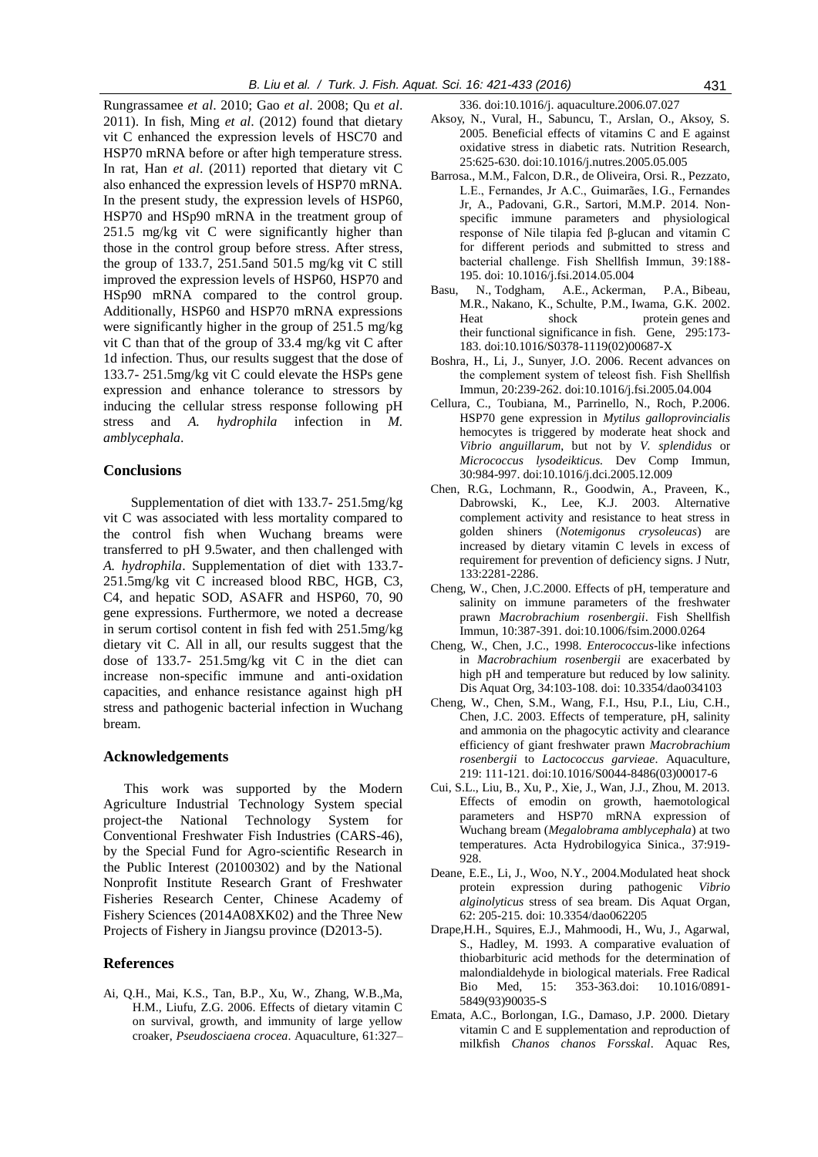Rungrassamee *et al*. 2010; Gao *et al*. 2008; Qu *et al*. 2011). In fish, Ming *et al*. (2012) found that dietary vit C enhanced the expression levels of HSC70 and HSP70 mRNA before or after high temperature stress. In rat, Han *et al*. (2011) reported that dietary vit C also enhanced the expression levels of HSP70 mRNA. In the present study, the expression levels of HSP60, HSP70 and HSp90 mRNA in the treatment group of 251.5 mg/kg vit C were significantly higher than those in the control group before stress. After stress, the group of 133.7, 251.5and 501.5 mg/kg vit C still improved the expression levels of HSP60, HSP70 and HSp90 mRNA compared to the control group. Additionally, HSP60 and HSP70 mRNA expressions were significantly higher in the group of 251.5 mg/kg vit C than that of the group of 33.4 mg/kg vit C after 1d infection. Thus, our results suggest that the dose of 133.7- 251.5mg/kg vit C could elevate the HSPs gene expression and enhance tolerance to stressors by inducing the cellular stress response following pH stress and *A. hydrophila* infection in *M. amblycephala*.

### **Conclusions**

Supplementation of diet with 133.7- 251.5mg/kg vit C was associated with less mortality compared to the control fish when Wuchang breams were transferred to pH 9.5water, and then challenged with *A. hydrophila*. Supplementation of diet with 133.7- 251.5mg/kg vit C increased blood RBC, HGB, C3, C4, and hepatic SOD, ASAFR and HSP60, 70, 90 gene expressions. Furthermore, we noted a decrease in serum cortisol content in fish fed with 251.5mg/kg dietary vit C. All in all, our results suggest that the dose of 133.7- 251.5mg/kg vit C in the diet can increase non-specific immune and anti-oxidation capacities, and enhance resistance against high pH stress and pathogenic bacterial infection in Wuchang bream.

### **Acknowledgements**

This work was supported by the Modern Agriculture Industrial Technology System special project-the National Technology System for Conventional Freshwater Fish Industries (CARS-46), by the Special Fund for Agro-scientific Research in the Public Interest (20100302) and by the National Nonprofit Institute Research Grant of Freshwater Fisheries Research Center, Chinese Academy of Fishery Sciences (2014A08XK02) and the Three New Projects of Fishery in Jiangsu province (D2013-5).

### **References**

Ai, Q.H., Mai, K.S., Tan, B.P., Xu, W., Zhang, W.B.,Ma, H.M., Liufu, Z.G. 2006. Effects of dietary vitamin C on survival, growth, and immunity of large yellow croaker, *Pseudosciaena crocea*. Aquaculture, 61:327– 336. doi:10.1016/j. aquaculture.2006.07.027

- Aksoy, N., Vural, H., Sabuncu, T., Arslan, O., Aksoy, S. 2005. Beneficial effects of vitamins C and E against oxidative stress in diabetic rats. Nutrition Research, 25:625-630. doi:10.1016/j.nutres.2005.05.005
- Barrosa., M.M., Falcon, D.R., de Oliveira, Orsi. R., Pezzato, L.E., Fernandes, Jr A.C., Guimarães, I.G., Fernandes Jr, A., Padovani, G.R., Sartori, M.M.P. 2014. Nonspecific immune parameters and physiological response of Nile tilapia fed β-glucan and vitamin C for different periods and submitted to stress and bacterial challenge. Fish Shellfish Immun, 39:188- 195. doi: 10.1016/j.fsi.2014.05.004
- Basu, N., Todgham, A.E., Ackerman, P.A., Bibeau, M.R., Nakano, K., Schulte, P.M., Iwama, G.K. 2002. Heat shock protein genes and their functional significance in fish. Gene, 295:173- 183. doi:10.1016/S0378-1119(02)00687-X
- Boshra, H., Li, J., Sunyer, J.O. 2006. Recent advances on the complement system of teleost fish. Fish Shellfish Immun, 20:239-262. doi:10.1016/j.fsi.2005.04.004
- Cellura, C., Toubiana, M., Parrinello, N., Roch, P.2006. HSP70 gene expression in *Mytilus galloprovincialis* hemocytes is triggered by moderate heat shock and *Vibrio anguillarum*, but not by *V. splendidus* or *Micrococcus lysodeikticus.* Dev Comp Immun, 30:984-997[. doi:10.1016/j.dci.2005.12.009](http://dx.doi.org/10.1016/j.dci.2005.12.009)
- Chen, R.G., Lochmann, R., Goodwin, A., Praveen, K., Dabrowski, K., Lee, K.J. 2003. Alternative complement activity and resistance to heat stress in golden shiners (*Notemigonus crysoleucas*) are increased by dietary vitamin C levels in excess of requirement for prevention of deficiency signs. J Nutr, 133:2281-2286.
- Cheng, W., Chen, J.C.2000. Effects of pH, temperature and salinity on immune parameters of the freshwater prawn *Macrobrachium rosenbergii*. Fish Shellfish Immun, 10:387-391. doi:10.1006/fsim.2000.0264
- Cheng, W., Chen, J.C., 1998. *Enterococcus*-like infections in *Macrobrachium rosenbergii* are exacerbated by high pH and temperature but reduced by low salinity. Dis Aquat Org, 34:103-108. doi: 10.3354/dao034103
- Cheng, W., Chen, S.M., Wang, F.I., Hsu, P.I., Liu, C.H., Chen, J.C. 2003. Effects of temperature, pH, salinity and ammonia on the phagocytic activity and clearance efficiency of giant freshwater prawn *Macrobrachium rosenbergii* to *Lactococcus garvieae*. Aquaculture, 219: 111-121. doi:10.1016/S0044-8486(03)00017-6
- Cui, S.L., Liu, B., Xu, P., Xie, J., Wan, J.J., Zhou, M. 2013. Effects of emodin on growth, haemotological parameters and HSP70 mRNA expression of Wuchang bream (*Megalobrama amblycephala*) at two temperatures. Acta Hydrobilogyica Sinica., 37:919- 928.
- Deane, E.E., Li, J., Woo, N.Y., 2004.Modulated heat shock protein expression during pathogenic *Vibrio alginolyticus* stress of sea bream. Dis Aquat Organ, 62: 205-215. doi: 10.3354/dao062205
- Drape,H.H., Squires, E.J., Mahmoodi, H., Wu, J., Agarwal, S., Hadley, M. 1993. A comparative evaluation of thiobarbituric acid methods for the determination of malondialdehyde in biological materials. Free Radical Bio Med, 15: 353-363.doi: 10.1016/0891- 5849(93)90035-S
- Emata, A.C., Borlongan, I.G., Damaso, J.P. 2000. Dietary vitamin C and E supplementation and reproduction of milkfish *Chanos chanos Forsskal*. Aquac Res,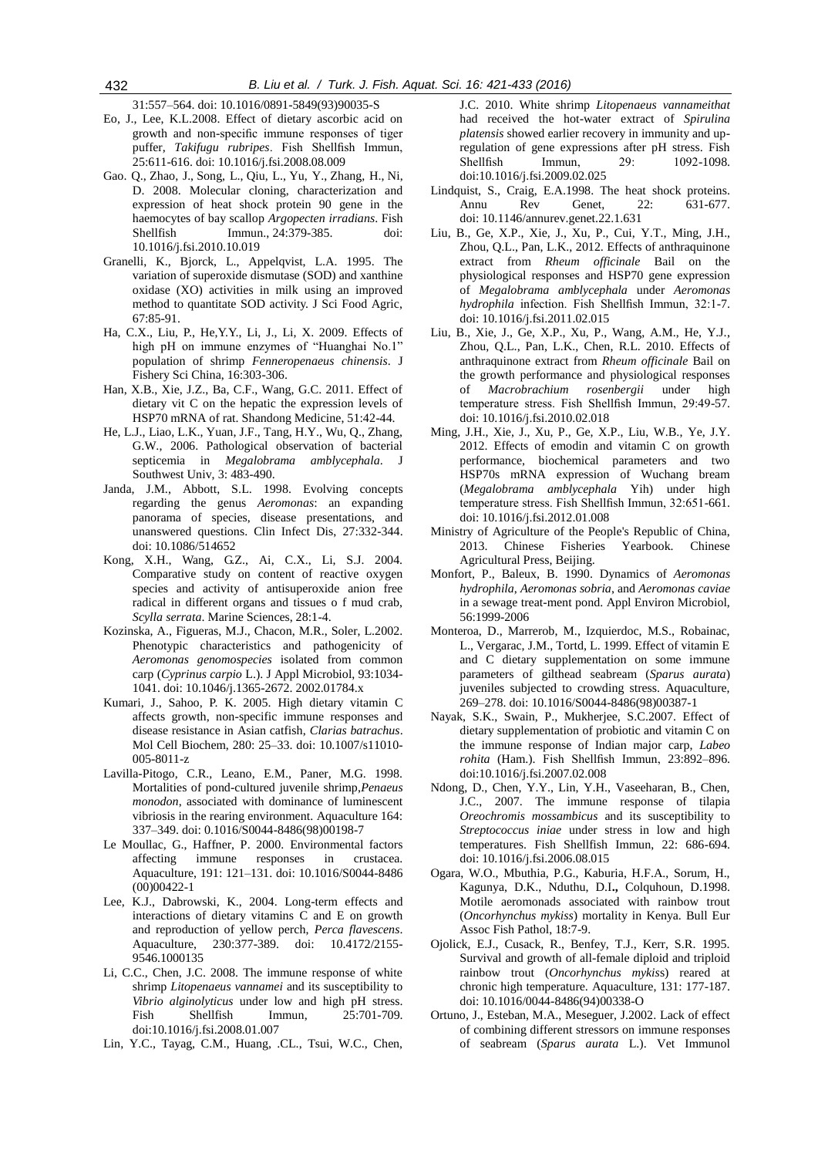31:557–564. doi: 10.1016/0891-5849(93)90035-S

- Eo, J., Lee, K.L.2008. Effect of dietary ascorbic acid on growth and non-specific immune responses of tiger puffer, *Takifugu rubripes*. Fish Shellfish Immun, 25:611-616. doi: 10.1016/j.fsi.2008.08.009
- Gao. Q., Zhao, J., Song, L., Qiu, L., Yu, Y., Zhang, H., Ni, D. 2008. Molecular cloning, characterization and expression of heat shock protein 90 gene in the haemocytes of bay scallop *Argopecten irradians*. Fish Shellfish Immun., 24:379-385. doi: 10.1016/j.fsi.2010.10.019
- Granelli, K., Bjorck, L., Appelqvist, L.A. 1995. The variation of superoxide dismutase (SOD) and xanthine oxidase (XO) activities in milk using an improved method to quantitate SOD activity. J Sci Food Agric, 67:85-91.
- Ha, C.X., Liu, P., He,Y.Y., Li, J., Li, X. 2009. Effects of high pH on immune enzymes of "Huanghai No.1" population of shrimp *Fenneropenaeus chinensis*. J Fishery Sci China, 16:303-306.
- Han, X.B., Xie, J.Z., Ba, C.F., Wang, G.C. 2011. Effect of dietary vit C on the hepatic the expression levels of HSP70 mRNA of rat. Shandong Medicine, 51:42-44.
- He, L.J., Liao, L.K., Yuan, J.F., Tang, H.Y., Wu, Q., Zhang, G.W., 2006. Pathological observation of bacterial septicemia in *Megalobrama amblycephala*. J Southwest Univ, 3: 483-490.
- Janda, J.M., Abbott, S.L. 1998. Evolving concepts regarding the genus *Aeromonas*: an expanding panorama of species, disease presentations, and unanswered questions. Clin Infect Dis, 27:332-344. doi: 10.1086/514652
- Kong, X.H., Wang, G.Z., Ai, C.X., Li, S.J. 2004. Comparative study on content of reactive oxygen species and activity of antisuperoxide anion free radical in different organs and tissues o f mud crab, *Scylla serrata*. Marine Sciences, 28:1-4.
- Kozinska, A., Figueras, M.J., Chacon, M.R., Soler, L.2002. Phenotypic characteristics and pathogenicity of *Aeromonas genomospecies* isolated from common carp (*Cyprinus carpio* L.). J Appl Microbiol, 93:1034- 1041. doi: 10.1046/j.1365-2672. 2002.01784.x
- Kumari, J., Sahoo, P. K. 2005. High dietary vitamin C affects growth, non-specific immune responses and disease resistance in Asian catfish, *Clarias batrachus*. Mol Cell Biochem, 280: 25–33. doi: 10.1007/s11010- 005-8011-z
- Lavilla-Pitogo, C.R., Leano, E.M., Paner, M.G. 1998. Mortalities of pond-cultured juvenile shrimp,*Penaeus monodon*, associated with dominance of luminescent vibriosis in the rearing environment. Aquaculture 164: 337–349. doi: 0.1016/S0044-8486(98)00198-7
- Le Moullac, G., Haffner, P. 2000. Environmental factors affecting immune responses in crustacea. Aquaculture, 191: 121–131. doi: 10.1016/S0044-8486 (00)00422-1
- Lee, K.J., Dabrowski, K., 2004. Long-term effects and interactions of dietary vitamins C and E on growth and reproduction of yellow perch, *Perca flavescens*. Aquaculture, 230:377-389. doi: 10.4172/2155- 9546.1000135
- Li, C.C., Chen, J.C. 2008. The immune response of white shrimp *Litopenaeus vannamei* and its susceptibility to *Vibrio alginolyticus* under low and high pH stress. Fish Shellfish Immun, 25:701-709. doi:10.1016/j.fsi.2008.01.007
- Lin, Y.C., Tayag, C.M., Huang, .CL., Tsui, W.C., Chen,

J.C. 2010. White shrimp *Litopenaeus vannameithat* had received the hot-water extract of *Spirulina platensis* showed earlier recovery in immunity and upregulation of gene expressions after pH stress. Fish Shellfish Immun, 29: 1092-1098. doi:10.1016/j.fsi.2009.02.025

- Lindquist, S., Craig, E.A.1998. The heat shock proteins. Annu Rev Genet, 22: 631-677. doi: 10.1146/annurev.genet.22.1.631
- Liu, B., Ge, X.P., Xie, J., Xu, P., Cui, Y.T., Ming, J.H., Zhou, Q.L., Pan, L.K., 2012. Effects of anthraquinone extract from *Rheum officinale* Bail on the physiological responses and HSP70 gene expression of *Megalobrama amblycephala* under *Aeromonas hydrophila* infection. Fish Shellfish Immun, 32:1-7. doi: [10.1016/j.fsi.2011.02.015](http://doi.med.wanfangdata.com.cn/doi/10.1016/j.fsi.2011.02.015)
- Liu, B., Xie, J., Ge, X.P., Xu, P., Wang, A.M., He, Y.J., Zhou, Q.L., Pan, L.K., Chen, R.L. 2010. Effects of anthraquinone extract from *Rheum officinale* Bail on the growth performance and physiological responses of *Macrobrachium rosenbergii* under high temperature stress. Fish Shellfish Immun, 29:49-57. doi: 10.1016/j.fsi.2010.02.018
- Ming, J.H., Xie, J., Xu, P., Ge, X.P., Liu, W.B., Ye, J.Y. 2012. Effects of emodin and vitamin C on growth performance, biochemical parameters and two HSP70s mRNA expression of Wuchang bream (*Megalobrama amblycephala* Yih) under high temperature stress. Fish Shellfish Immun, 32:651-661. doi: 10.1016/j.fsi.2012.01.008
- Ministry of Agriculture of the People's Republic of China, 2013. Chinese Fisheries Yearbook. Chinese Agricultural Press, Beijing.
- Monfort, P., Baleux, B. 1990. Dynamics of *Aeromonas hydrophila*, *Aeromonas sobria*, and *Aeromonas caviae* in a sewage treat-ment pond. Appl Environ Microbiol, 56:1999-2006
- Monteroa, D., Marrerob, M., Izquierdoc, M.S., Robainac, L., Vergarac, J.M., Tortd, L. 1999. Effect of vitamin E and C dietary supplementation on some immune parameters of gilthead seabream (*Sparus aurata*) juveniles subjected to crowding stress. Aquaculture, 269–278. doi: 10.1016/S0044-8486(98)00387-1
- Nayak, S.K., Swain, P., Mukherjee, S.C.2007. Effect of dietary supplementation of probiotic and vitamin C on the immune response of Indian major carp, *Labeo rohita* (Ham.). Fish Shellfish Immun, 23:892–896. [doi:10.1016/j.fsi.2007.02.008](http://dx.doi.org/10.1016/j.fsi.2007.02.008)
- Ndong, D., Chen, Y.Y., Lin, Y.H., Vaseeharan, B., Chen, J.C., 2007. The immune response of tilapia *Oreochromis mossambicus* and its susceptibility to *Streptococcus iniae* under stress in low and high temperatures. Fish Shellfish Immun, 22: 686-694. doi: 10.1016/j.fsi.2006.08.015
- Ogara, W.O., Mbuthia, P.G., Kaburia, H.F.A., Sorum, H., Kagunya, D.K., Nduthu, D.I**.,** Colquhoun, D.1998. Motile aeromonads associated with rainbow trout (*Oncorhynchus mykiss*) mortality in Kenya. Bull Eur Assoc Fish Pathol, 18:7-9.
- Ojolick, E.J., Cusack, R., Benfey, T.J., Kerr, S.R. 1995. Survival and growth of all-female diploid and triploid rainbow trout (*Oncorhynchus mykis*s) reared at chronic high temperature. Aquaculture, 131: 177-187. doi: 10.1016/0044-8486(94)00338-O
- Ortuno, J., Esteban, M.A., Meseguer, J.2002. Lack of effect of combining different stressors on immune responses of seabream (*Sparus aurata* L.). Vet Immunol